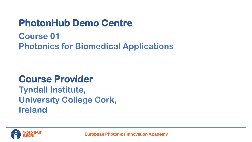# **PhotonHub Demo Centre**

## **Course 01 Photonics for Biomedical Applications**

# **Course Provider**

**Tyndall Institute, University College Cork, Ireland**

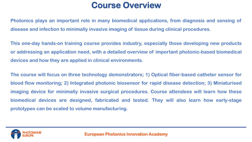## **Course Overview**

**Photonics plays an important role in many biomedical applications, from diagnosis and sensing of disease and infection to minimally invasive imaging of tissue during clinical procedures.**

**This one-day hands-on training course provides industry, especially those developing new products or addressing an application need, with a detailed overview of important photonic-based biomedical devices and how they are applied in clinical environments.**

**The course will focus on three technology demonstrators; 1) Optical fiber-based catheter sensor for blood flow monitoring; 2) Integrated photonic biosensor for rapid disease detection; 3) Miniaturised imaging device for minimally invasive surgical procedures. Course attendees will learn how these biomedical devices are designed, fabricated and tested. They will also learn how early-stage prototypes can be scaled to volume manufacturing.**

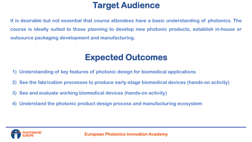## **Target Audience**

**It is desirable but not essential that course attendees have a basic understanding of photonics. The course is ideally suited to those planning to develop new photonic products, establish in-house or outsource packaging development and manufacturing.**

## **Expected Outcomes**

- **1) Understanding of key features of photonic design for biomedical applications**
- **2) See the fabrication processes to produce early-stage biomedical devices (hands-on activity)**
- **3) See and evaluate working biomedical devices (hands-on activity)**
- **4) Understand the photonic product design process and manufacturing ecosystem**

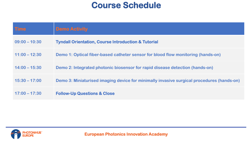### **Course Schedule**

| <b>Time</b>     | <b>Demo Activity</b>                                                                      |
|-----------------|-------------------------------------------------------------------------------------------|
| $09:00 - 10:30$ | <b>Tyndall Orientation, Course Introduction &amp; Tutorial</b>                            |
| $11:00 - 12:30$ | Demo 1: Optical fiber-based catheter sensor for blood flow monitoring (hands-on)          |
| $14:00 - 15:30$ | Demo 2: Integrated photonic biosensor for rapid disease detection (hands-on)              |
| $15:30 - 17:00$ | Demo 3: Miniaturised imaging device for minimally invasive surgical procedures (hands-on) |
| $17:00 - 17:30$ | <b>Follow-Up Questions &amp; Close</b>                                                    |

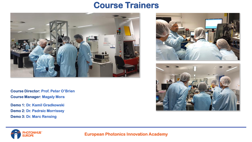#### **Course Trainers**



**Course Director: Prof. Peter O'Brien Course Manager: Magaly Mora**

**Demo 1: Dr. Kamil Gradkowski Demo 2: Dr. Padraic Morrissey Demo 3: Dr. Marc Rensing**







**European Photonics Innovation Academy**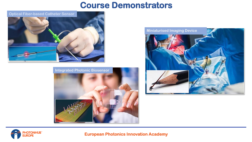#### **Course Demonstrators**



**Integrated Photonic Biosensor** 







#### **European Photonics Innovation Academy**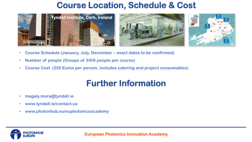## **Course Location, Schedule & Cost**







- **Course Schedule (January, July, December – exact dates to be confirmed)**
- **Number of people (Groups of 3/6/9 people per course)**
- **Course Cost (250 Euros per person, includes catering and project consumables)**

## **Further Information**

• **magaly.mora@tyndall.ie**

**OTONHUB**<sup>\*</sup>

- **www.tyndall.ie/contact-us**
- **www.photonhub.eu/euphotonicsacademy**

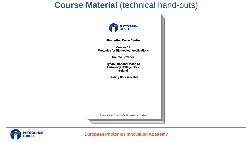#### **Course Material** (technical hand-outs)





**European Photonics Innovation Academy**